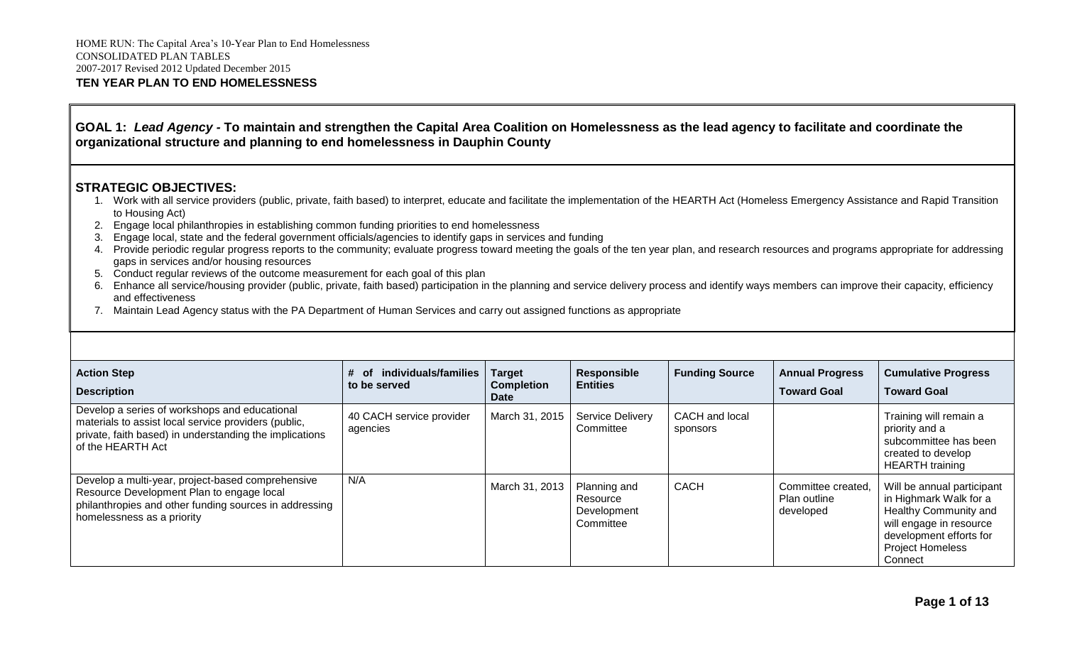## **GOAL 1:** *Lead Agency -* **To maintain and strengthen the Capital Area Coalition on Homelessness as the lead agency to facilitate and coordinate the organizational structure and planning to end homelessness in Dauphin County**

- 1. Work with all service providers (public, private, faith based) to interpret, educate and facilitate the implementation of the HEARTH Act (Homeless Emergency Assistance and Rapid Transition to Housing Act)
- 2. Engage local philanthropies in establishing common funding priorities to end homelessness
- 3. Engage local, state and the federal government officials/agencies to identify gaps in services and funding
- 4. Provide periodic regular progress reports to the community; evaluate progress toward meeting the goals of the ten year plan, and research resources and programs appropriate for addressing gaps in services and/or housing resources
- 5. Conduct regular reviews of the outcome measurement for each goal of this plan
- 6. Enhance all service/housing provider (public, private, faith based) participation in the planning and service delivery process and identify ways members can improve their capacity, efficiency and effectiveness
- 7. Maintain Lead Agency status with the PA Department of Human Services and carry out assigned functions as appropriate

| <b>Action Step</b><br><b>Description</b>                                                                                                                                               | individuals/families<br>Ωt<br>to be served | <b>Target</b><br><b>Completion</b><br>Date | <b>Responsible</b><br><b>Entities</b>                | <b>Funding Source</b>      | <b>Annual Progress</b><br><b>Toward Goal</b>    | <b>Cumulative Progress</b><br><b>Toward Goal</b>                                                                                                                          |
|----------------------------------------------------------------------------------------------------------------------------------------------------------------------------------------|--------------------------------------------|--------------------------------------------|------------------------------------------------------|----------------------------|-------------------------------------------------|---------------------------------------------------------------------------------------------------------------------------------------------------------------------------|
| Develop a series of workshops and educational<br>materials to assist local service providers (public,<br>private, faith based) in understanding the implications<br>of the HEARTH Act  | 40 CACH service provider<br>agencies       | March 31, 2015                             | <b>Service Delivery</b><br>Committee                 | CACH and local<br>sponsors |                                                 | Training will remain a<br>priority and a<br>subcommittee has been<br>created to develop<br><b>HEARTH</b> training                                                         |
| Develop a multi-year, project-based comprehensive<br>Resource Development Plan to engage local<br>philanthropies and other funding sources in addressing<br>homelessness as a priority | N/A                                        | March 31, 2013                             | Planning and<br>Resource<br>Development<br>Committee | <b>CACH</b>                | Committee created,<br>Plan outline<br>developed | Will be annual participant<br>in Highmark Walk for a<br>Healthy Community and<br>will engage in resource<br>development efforts for<br><b>Project Homeless</b><br>Connect |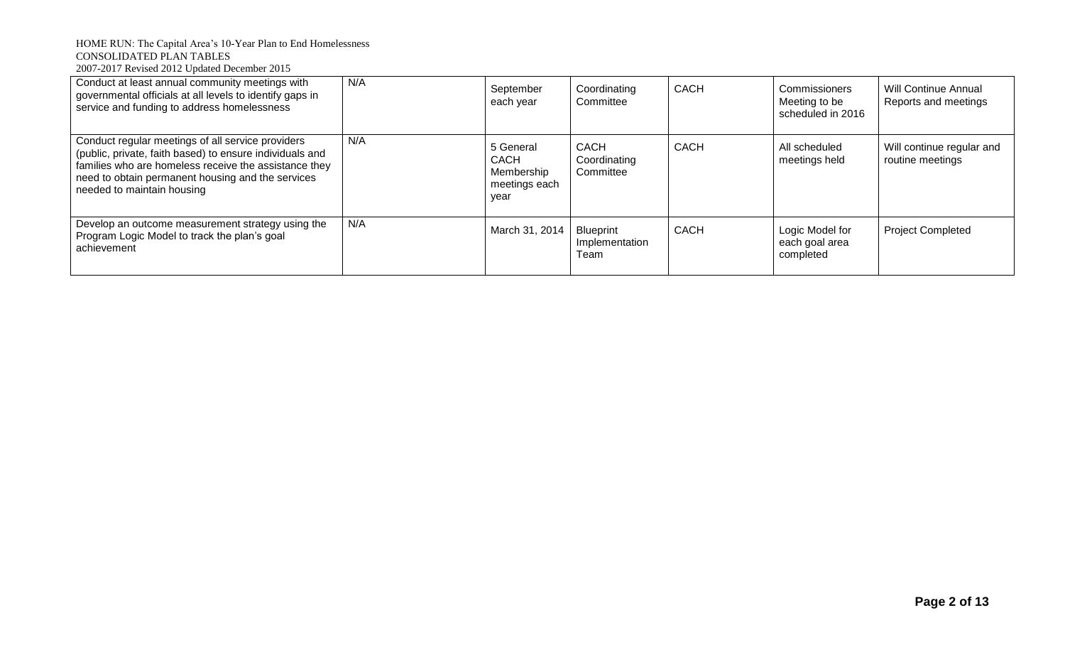| Conduct at least annual community meetings with<br>governmental officials at all levels to identify gaps in<br>service and funding to address homelessness                                                                                                | N/A | September<br>each year                                   | Coordinating<br>Committee                  | <b>CACH</b> | Commissioners<br>Meeting to be<br>scheduled in 2016 | <b>Will Continue Annual</b><br>Reports and meetings |
|-----------------------------------------------------------------------------------------------------------------------------------------------------------------------------------------------------------------------------------------------------------|-----|----------------------------------------------------------|--------------------------------------------|-------------|-----------------------------------------------------|-----------------------------------------------------|
| Conduct regular meetings of all service providers<br>(public, private, faith based) to ensure individuals and<br>families who are homeless receive the assistance they<br>need to obtain permanent housing and the services<br>needed to maintain housing | N/A | 5 General<br>CACH<br>Membership<br>meetings each<br>vear | CACH<br>Coordinating<br>Committee          | <b>CACH</b> | All scheduled<br>meetings held                      | Will continue regular and<br>routine meetings       |
| Develop an outcome measurement strategy using the<br>Program Logic Model to track the plan's goal<br>achievement                                                                                                                                          | N/A | March 31, 2014                                           | <b>Blueprint</b><br>Implementation<br>Team | <b>CACH</b> | Logic Model for<br>each goal area<br>completed      | <b>Project Completed</b>                            |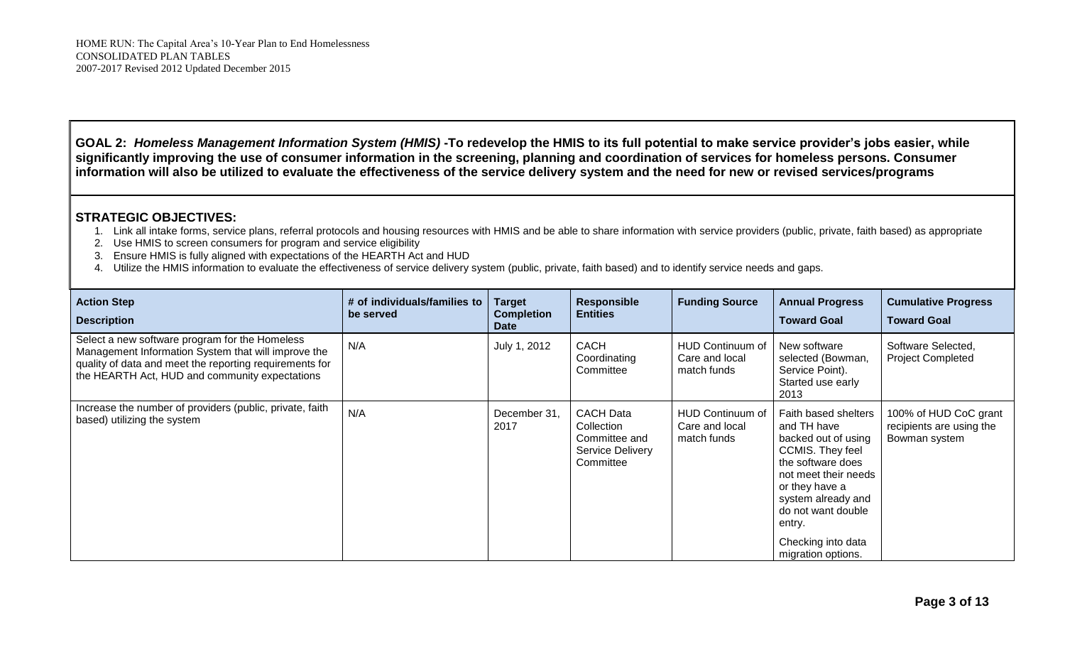**GOAL 2:** *Homeless Management Information System (HMIS)* **-To redevelop the HMIS to its full potential to make service provider's jobs easier, while significantly improving the use of consumer information in the screening, planning and coordination of services for homeless persons. Consumer information will also be utilized to evaluate the effectiveness of the service delivery system and the need for new or revised services/programs**

- 1. Link all intake forms, service plans, referral protocols and housing resources with HMIS and be able to share information with service providers (public, private, faith based) as appropriate
- 2. Use HMIS to screen consumers for program and service eligibility
- 3. Ensure HMIS is fully aligned with expectations of the HEARTH Act and HUD
- 4. Utilize the HMIS information to evaluate the effectiveness of service delivery system (public, private, faith based) and to identify service needs and gaps.

| <b>Action Step</b><br><b>Description</b>                                                                                                                                                                           | # of individuals/families to<br>be served | <b>Target</b><br><b>Completion</b><br><b>Date</b> | <b>Responsible</b><br><b>Entities</b>                                            | <b>Funding Source</b>                                    | <b>Annual Progress</b><br><b>Toward Goal</b>                                                                                                                                                                                                           | <b>Cumulative Progress</b><br><b>Toward Goal</b>                   |
|--------------------------------------------------------------------------------------------------------------------------------------------------------------------------------------------------------------------|-------------------------------------------|---------------------------------------------------|----------------------------------------------------------------------------------|----------------------------------------------------------|--------------------------------------------------------------------------------------------------------------------------------------------------------------------------------------------------------------------------------------------------------|--------------------------------------------------------------------|
| Select a new software program for the Homeless<br>Management Information System that will improve the<br>quality of data and meet the reporting requirements for<br>the HEARTH Act, HUD and community expectations | N/A                                       | July 1, 2012                                      | <b>CACH</b><br>Coordinating<br>Committee                                         | <b>HUD Continuum of</b><br>Care and local<br>match funds | New software<br>selected (Bowman,<br>Service Point).<br>Started use early<br>2013                                                                                                                                                                      | Software Selected,<br><b>Project Completed</b>                     |
| Increase the number of providers (public, private, faith<br>based) utilizing the system                                                                                                                            | N/A                                       | December 31,<br>2017                              | <b>CACH Data</b><br>Collection<br>Committee and<br>Service Delivery<br>Committee | HUD Continuum of<br>Care and local<br>match funds        | Faith based shelters<br>and TH have<br>backed out of using<br><b>CCMIS. They feel</b><br>the software does<br>not meet their needs<br>or they have a<br>system already and<br>do not want double<br>entry.<br>Checking into data<br>migration options. | 100% of HUD CoC grant<br>recipients are using the<br>Bowman system |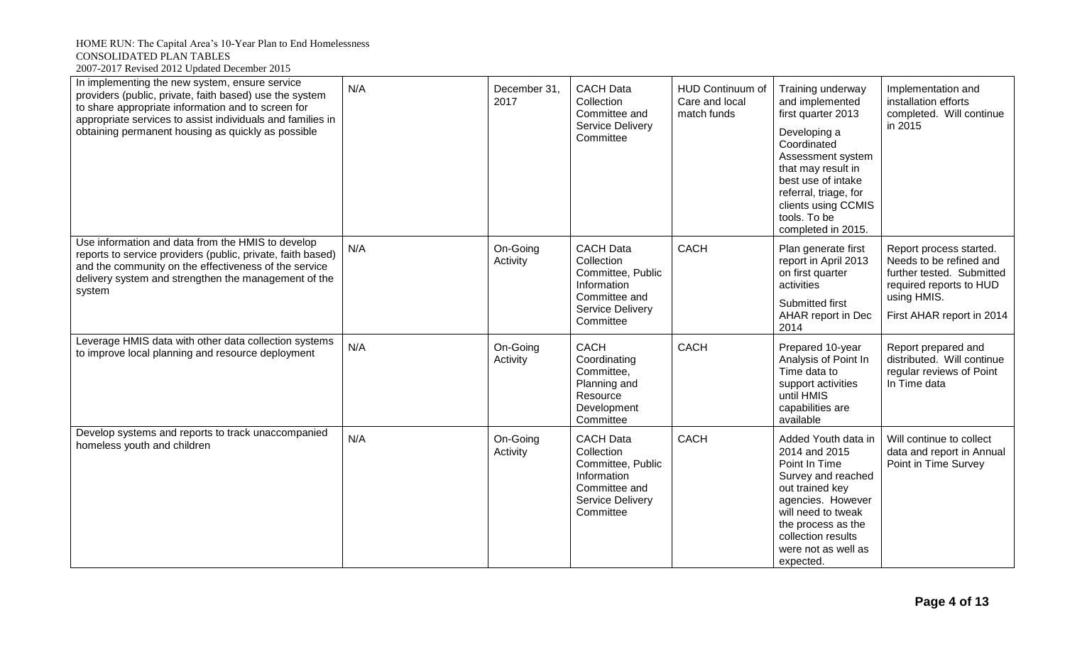| In implementing the new system, ensure service<br>providers (public, private, faith based) use the system<br>to share appropriate information and to screen for<br>appropriate services to assist individuals and families in<br>obtaining permanent housing as quickly as possible | N/A | December 31,<br>2017 | <b>CACH Data</b><br>Collection<br>Committee and<br>Service Delivery<br>Committee                                     | <b>HUD Continuum of</b><br>Care and local<br>match funds | Training underway<br>and implemented<br>first quarter 2013<br>Developing a<br>Coordinated<br>Assessment system<br>that may result in<br>best use of intake<br>referral, triage, for<br>clients using CCMIS<br>tools. To be<br>completed in 2015. | Implementation and<br>installation efforts<br>completed. Will continue<br>in 2015                                                                      |
|-------------------------------------------------------------------------------------------------------------------------------------------------------------------------------------------------------------------------------------------------------------------------------------|-----|----------------------|----------------------------------------------------------------------------------------------------------------------|----------------------------------------------------------|--------------------------------------------------------------------------------------------------------------------------------------------------------------------------------------------------------------------------------------------------|--------------------------------------------------------------------------------------------------------------------------------------------------------|
| Use information and data from the HMIS to develop<br>reports to service providers (public, private, faith based)<br>and the community on the effectiveness of the service<br>delivery system and strengthen the management of the<br>system                                         | N/A | On-Going<br>Activity | <b>CACH Data</b><br>Collection<br>Committee, Public<br>Information<br>Committee and<br>Service Delivery<br>Committee | <b>CACH</b>                                              | Plan generate first<br>report in April 2013<br>on first quarter<br>activities<br>Submitted first<br>AHAR report in Dec<br>2014                                                                                                                   | Report process started.<br>Needs to be refined and<br>further tested. Submitted<br>required reports to HUD<br>using HMIS.<br>First AHAR report in 2014 |
| Leverage HMIS data with other data collection systems<br>to improve local planning and resource deployment                                                                                                                                                                          | N/A | On-Going<br>Activity | CACH<br>Coordinating<br>Committee,<br>Planning and<br>Resource<br>Development<br>Committee                           | <b>CACH</b>                                              | Prepared 10-year<br>Analysis of Point In<br>Time data to<br>support activities<br>until HMIS<br>capabilities are<br>available                                                                                                                    | Report prepared and<br>distributed. Will continue<br>regular reviews of Point<br>In Time data                                                          |
| Develop systems and reports to track unaccompanied<br>homeless youth and children                                                                                                                                                                                                   | N/A | On-Going<br>Activity | <b>CACH Data</b><br>Collection<br>Committee, Public<br>Information<br>Committee and<br>Service Delivery<br>Committee | <b>CACH</b>                                              | Added Youth data in<br>2014 and 2015<br>Point In Time<br>Survey and reached<br>out trained key<br>agencies. However<br>will need to tweak<br>the process as the<br>collection results<br>were not as well as<br>expected.                        | Will continue to collect<br>data and report in Annual<br>Point in Time Survey                                                                          |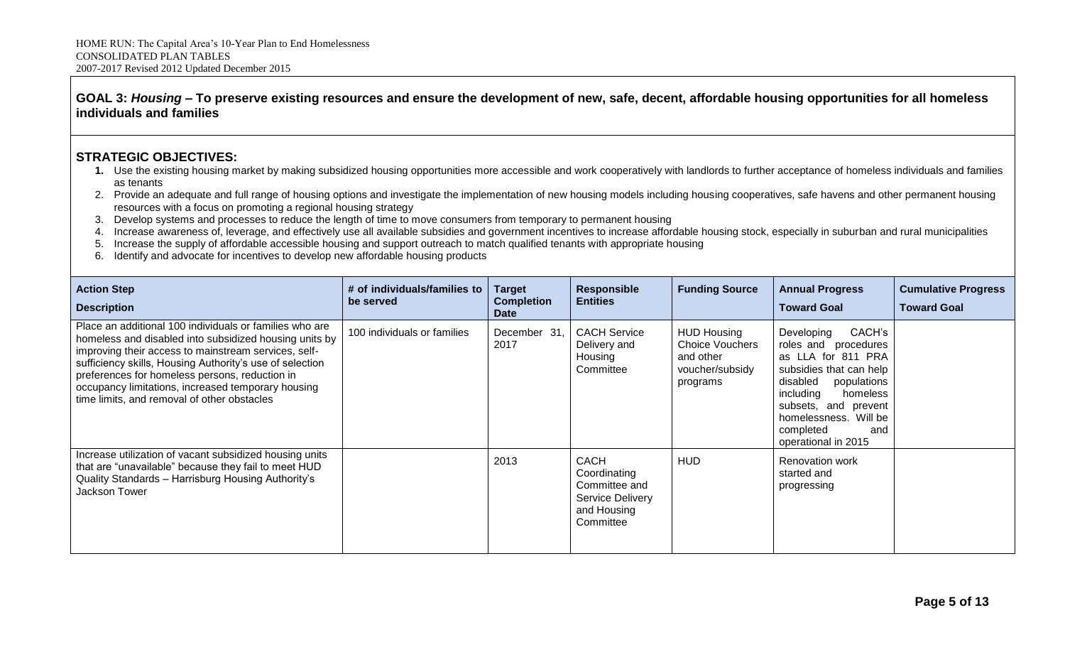### **GOAL 3:** *Housing –* **To preserve existing resources and ensure the development of new, safe, decent, affordable housing opportunities for all homeless individuals and families**

- **1.** Use the existing housing market by making subsidized housing opportunities more accessible and work cooperatively with landlords to further acceptance of homeless individuals and families as tenants
- 2. Provide an adequate and full range of housing options and investigate the implementation of new housing models including housing cooperatives, safe havens and other permanent housing resources with a focus on promoting a regional housing strategy
- 3. Develop systems and processes to reduce the length of time to move consumers from temporary to permanent housing
- 4. Increase awareness of, leverage, and effectively use all available subsidies and government incentives to increase affordable housing stock, especially in suburban and rural municipalities
- 5. Increase the supply of affordable accessible housing and support outreach to match qualified tenants with appropriate housing
- 6. Identify and advocate for incentives to develop new affordable housing products

| <b>Action Step</b><br><b>Description</b>                                                                                                                                                                                                                                                                                                                                                     | # of individuals/families to<br>be served | Target<br><b>Completion</b><br><b>Date</b> | <b>Responsible</b><br><b>Entities</b>                                                               | <b>Funding Source</b>                                                                    | <b>Annual Progress</b><br><b>Toward Goal</b>                                                                                                                                                                                                  | <b>Cumulative Progress</b><br><b>Toward Goal</b> |
|----------------------------------------------------------------------------------------------------------------------------------------------------------------------------------------------------------------------------------------------------------------------------------------------------------------------------------------------------------------------------------------------|-------------------------------------------|--------------------------------------------|-----------------------------------------------------------------------------------------------------|------------------------------------------------------------------------------------------|-----------------------------------------------------------------------------------------------------------------------------------------------------------------------------------------------------------------------------------------------|--------------------------------------------------|
| Place an additional 100 individuals or families who are<br>homeless and disabled into subsidized housing units by<br>improving their access to mainstream services, self-<br>sufficiency skills, Housing Authority's use of selection<br>preferences for homeless persons, reduction in<br>occupancy limitations, increased temporary housing<br>time limits, and removal of other obstacles | 100 individuals or families               | December 31,<br>2017                       | <b>CACH Service</b><br>Delivery and<br>Housing<br>Committee                                         | <b>HUD Housing</b><br><b>Choice Vouchers</b><br>and other<br>voucher/subsidy<br>programs | CACH's<br>Developing<br>roles and procedures<br>as LLA for 811 PRA<br>subsidies that can help<br>disabled<br>populations<br>including<br>homeless<br>subsets, and prevent<br>homelessness. Will be<br>completed<br>and<br>operational in 2015 |                                                  |
| Increase utilization of vacant subsidized housing units<br>that are "unavailable" because they fail to meet HUD<br>Quality Standards - Harrisburg Housing Authority's<br>Jackson Tower                                                                                                                                                                                                       |                                           | 2013                                       | <b>CACH</b><br>Coordinating<br>Committee and<br><b>Service Delivery</b><br>and Housing<br>Committee | <b>HUD</b>                                                                               | <b>Renovation work</b><br>started and<br>progressing                                                                                                                                                                                          |                                                  |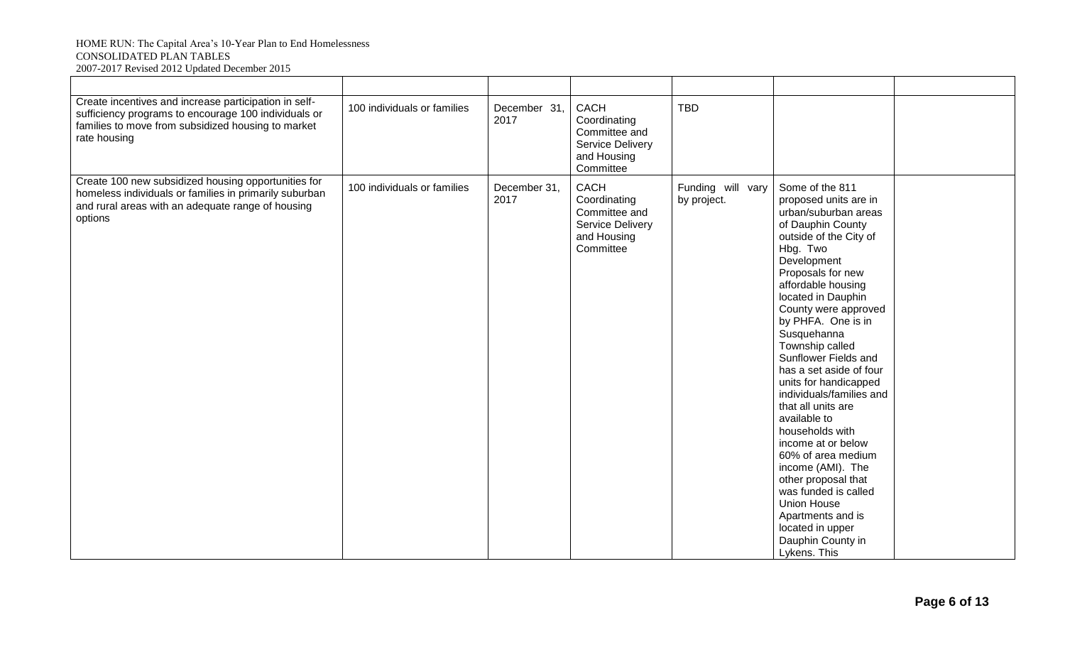#### HOME RUN: The Capital Area's 10-Year Plan to End Homelessness CONSOLIDATED PLAN TABLES 2007-2017 Revised 2012 Updated December 2015

| Create incentives and increase participation in self-<br>sufficiency programs to encourage 100 individuals or<br>families to move from subsidized housing to market<br>rate housing | 100 individuals or families | December 31,<br>2017 | CACH<br>Coordinating<br>Committee and<br>Service Delivery<br>and Housing<br>Committee | <b>TBD</b>                       |                                                                                                                                                                                                                                                                                                                                                                                                                                                                                                                                                                                                                                                                           |  |
|-------------------------------------------------------------------------------------------------------------------------------------------------------------------------------------|-----------------------------|----------------------|---------------------------------------------------------------------------------------|----------------------------------|---------------------------------------------------------------------------------------------------------------------------------------------------------------------------------------------------------------------------------------------------------------------------------------------------------------------------------------------------------------------------------------------------------------------------------------------------------------------------------------------------------------------------------------------------------------------------------------------------------------------------------------------------------------------------|--|
| Create 100 new subsidized housing opportunities for<br>homeless individuals or families in primarily suburban<br>and rural areas with an adequate range of housing<br>options       | 100 individuals or families | December 31,<br>2017 | CACH<br>Coordinating<br>Committee and<br>Service Delivery<br>and Housing<br>Committee | Funding will vary<br>by project. | Some of the 811<br>proposed units are in<br>urban/suburban areas<br>of Dauphin County<br>outside of the City of<br>Hbg. Two<br>Development<br>Proposals for new<br>affordable housing<br>located in Dauphin<br>County were approved<br>by PHFA. One is in<br>Susquehanna<br>Township called<br>Sunflower Fields and<br>has a set aside of four<br>units for handicapped<br>individuals/families and<br>that all units are<br>available to<br>households with<br>income at or below<br>60% of area medium<br>income (AMI). The<br>other proposal that<br>was funded is called<br>Union House<br>Apartments and is<br>located in upper<br>Dauphin County in<br>Lykens. This |  |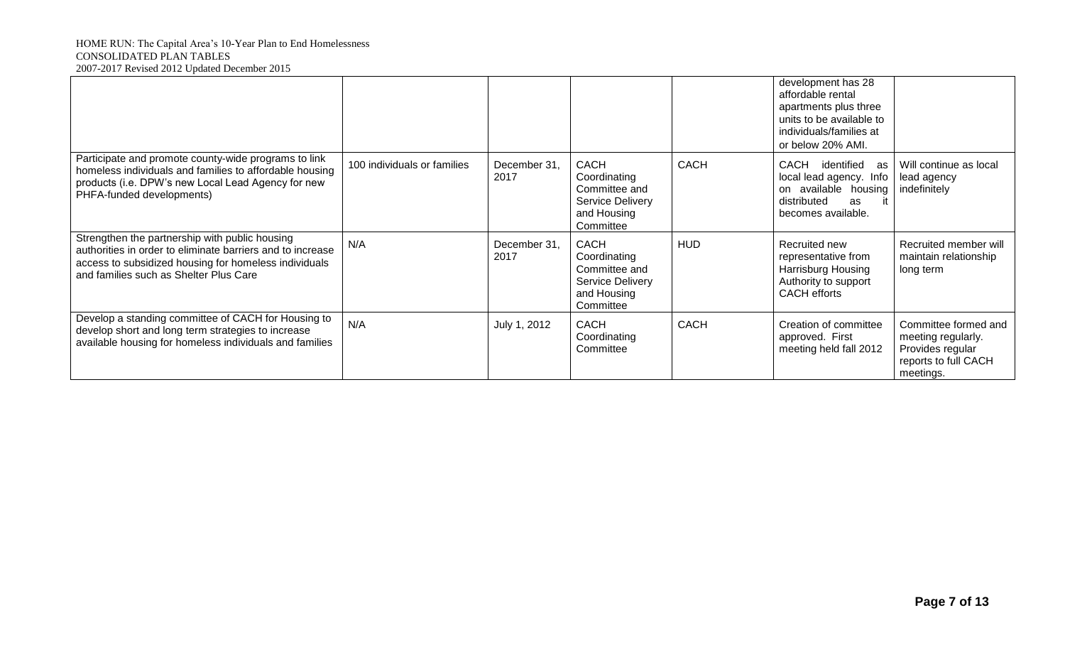#### HOME RUN: The Capital Area's 10-Year Plan to End Homelessness CONSOLIDATED PLAN TABLES 2007-2017 Revised 2012 Updated December 2015

|                                                                                                                                                                                                                 |                             |                      |                                                                                                     |             | development has 28<br>affordable rental<br>apartments plus three<br>units to be available to<br>individuals/families at<br>or below 20% AMI. |                                                                                                     |
|-----------------------------------------------------------------------------------------------------------------------------------------------------------------------------------------------------------------|-----------------------------|----------------------|-----------------------------------------------------------------------------------------------------|-------------|----------------------------------------------------------------------------------------------------------------------------------------------|-----------------------------------------------------------------------------------------------------|
| Participate and promote county-wide programs to link<br>homeless individuals and families to affordable housing<br>products (i.e. DPW's new Local Lead Agency for new<br>PHFA-funded developments)              | 100 individuals or families | December 31.<br>2017 | <b>CACH</b><br>Coordinating<br>Committee and<br><b>Service Delivery</b><br>and Housing<br>Committee | <b>CACH</b> | <b>CACH</b><br>identified<br>as<br>local lead agency. Info<br>on available housing<br>distributed<br>as<br>becomes available.                | Will continue as local<br>lead agency<br>indefinitely                                               |
| Strengthen the partnership with public housing<br>authorities in order to eliminate barriers and to increase<br>access to subsidized housing for homeless individuals<br>and families such as Shelter Plus Care | N/A                         | December 31,<br>2017 | <b>CACH</b><br>Coordinating<br>Committee and<br>Service Delivery<br>and Housing<br>Committee        | <b>HUD</b>  | Recruited new<br>representative from<br>Harrisburg Housing<br>Authority to support<br><b>CACH</b> efforts                                    | Recruited member will<br>maintain relationship<br>long term                                         |
| Develop a standing committee of CACH for Housing to<br>develop short and long term strategies to increase<br>available housing for homeless individuals and families                                            | N/A                         | July 1, 2012         | <b>CACH</b><br>Coordinating<br>Committee                                                            | <b>CACH</b> | Creation of committee<br>approved. First<br>meeting held fall 2012                                                                           | Committee formed and<br>meeting regularly.<br>Provides regular<br>reports to full CACH<br>meetings. |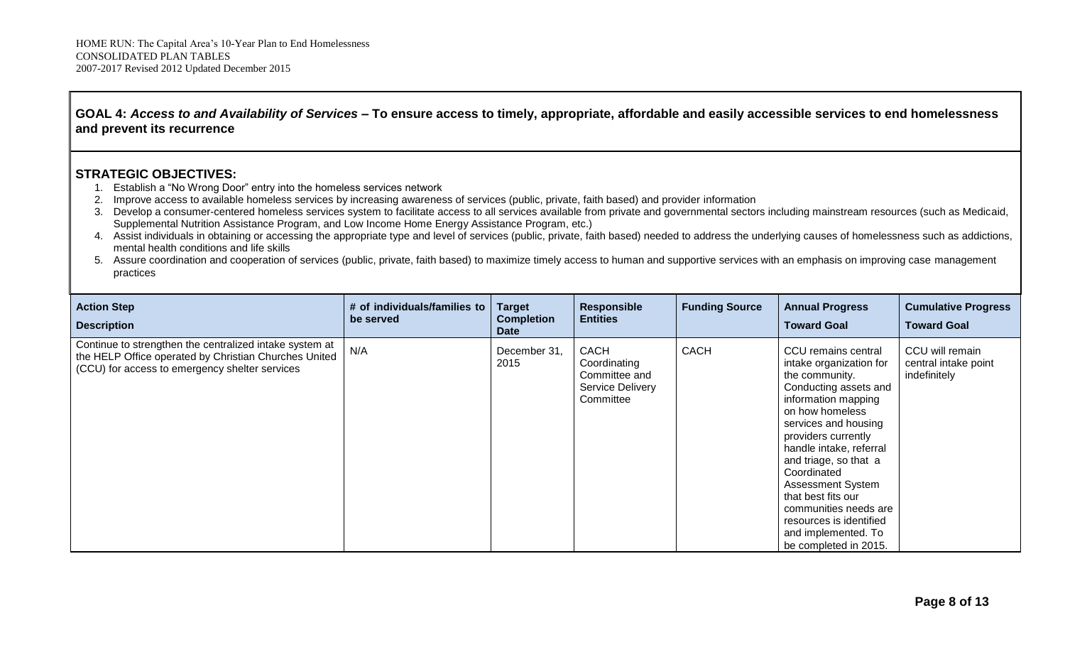# **GOAL 4:** *Access to and Availability of Services –* **To ensure access to timely, appropriate, affordable and easily accessible services to end homelessness and prevent its recurrence**

- 1. Establish a "No Wrong Door" entry into the homeless services network
- 2. Improve access to available homeless services by increasing awareness of services (public, private, faith based) and provider information
- 3. Develop a consumer-centered homeless services system to facilitate access to all services available from private and governmental sectors including mainstream resources (such as Medicaid, Supplemental Nutrition Assistance Program, and Low Income Home Energy Assistance Program, etc.)
- 4. Assist individuals in obtaining or accessing the appropriate type and level of services (public, private, faith based) needed to address the underlying causes of homelessness such as addictions, mental health conditions and life skills
- 5. Assure coordination and cooperation of services (public, private, faith based) to maximize timely access to human and supportive services with an emphasis on improving case management practices

| <b>Action Step</b><br><b>Description</b>                                                                                                                           | # of individuals/families to<br>be served | <b>Target</b><br><b>Completion</b><br><b>Date</b> | <b>Responsible</b><br><b>Entities</b>                                  | <b>Funding Source</b> | <b>Annual Progress</b><br><b>Toward Goal</b>                                                                                                                                                                                                                                                                                                                                                                | <b>Cumulative Progress</b><br><b>Toward Goal</b>        |
|--------------------------------------------------------------------------------------------------------------------------------------------------------------------|-------------------------------------------|---------------------------------------------------|------------------------------------------------------------------------|-----------------------|-------------------------------------------------------------------------------------------------------------------------------------------------------------------------------------------------------------------------------------------------------------------------------------------------------------------------------------------------------------------------------------------------------------|---------------------------------------------------------|
| Continue to strengthen the centralized intake system at<br>the HELP Office operated by Christian Churches United<br>(CCU) for access to emergency shelter services | N/A                                       | December 31,<br>2015                              | CACH<br>Coordinating<br>Committee and<br>Service Delivery<br>Committee | <b>CACH</b>           | CCU remains central<br>intake organization for<br>the community.<br>Conducting assets and<br>information mapping<br>on how homeless<br>services and housing<br>providers currently<br>handle intake, referral<br>and triage, so that a<br>Coordinated<br><b>Assessment System</b><br>that best fits our<br>communities needs are<br>resources is identified<br>and implemented. To<br>be completed in 2015. | CCU will remain<br>central intake point<br>indefinitely |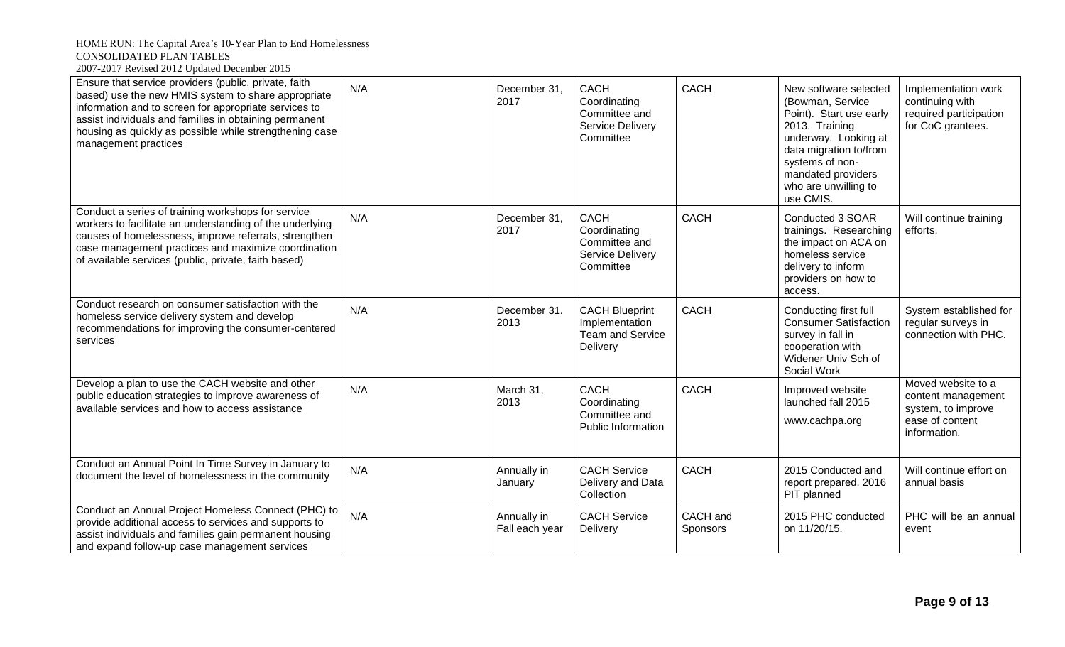| Ensure that service providers (public, private, faith<br>based) use the new HMIS system to share appropriate<br>information and to screen for appropriate services to<br>assist individuals and families in obtaining permanent<br>housing as quickly as possible while strengthening case<br>management practices | N/A | December 31,<br>2017          | <b>CACH</b><br>Coordinating<br>Committee and<br>Service Delivery<br>Committee  | <b>CACH</b>          | New software selected<br>(Bowman, Service<br>Point). Start use early<br>2013. Training<br>underway. Looking at<br>data migration to/from<br>systems of non-<br>mandated providers<br>who are unwilling to<br>use CMIS. | Implementation work<br>continuing with<br>required participation<br>for CoC grantees.             |
|--------------------------------------------------------------------------------------------------------------------------------------------------------------------------------------------------------------------------------------------------------------------------------------------------------------------|-----|-------------------------------|--------------------------------------------------------------------------------|----------------------|------------------------------------------------------------------------------------------------------------------------------------------------------------------------------------------------------------------------|---------------------------------------------------------------------------------------------------|
| Conduct a series of training workshops for service<br>workers to facilitate an understanding of the underlying<br>causes of homelessness, improve referrals, strengthen<br>case management practices and maximize coordination<br>of available services (public, private, faith based)                             | N/A | December 31,<br>2017          | <b>CACH</b><br>Coordinating<br>Committee and<br>Service Delivery<br>Committee  | <b>CACH</b>          | Conducted 3 SOAR<br>trainings. Researching<br>the impact on ACA on<br>homeless service<br>delivery to inform<br>providers on how to<br>access.                                                                         | Will continue training<br>efforts.                                                                |
| Conduct research on consumer satisfaction with the<br>homeless service delivery system and develop<br>recommendations for improving the consumer-centered<br>services                                                                                                                                              | N/A | December 31.<br>2013          | <b>CACH Blueprint</b><br>Implementation<br><b>Team and Service</b><br>Delivery | <b>CACH</b>          | Conducting first full<br><b>Consumer Satisfaction</b><br>survey in fall in<br>cooperation with<br>Widener Univ Sch of<br>Social Work                                                                                   | System established for<br>regular surveys in<br>connection with PHC.                              |
| Develop a plan to use the CACH website and other<br>public education strategies to improve awareness of<br>available services and how to access assistance                                                                                                                                                         | N/A | March 31,<br>2013             | <b>CACH</b><br>Coordinating<br>Committee and<br>Public Information             | <b>CACH</b>          | Improved website<br>launched fall 2015<br>www.cachpa.org                                                                                                                                                               | Moved website to a<br>content management<br>system, to improve<br>ease of content<br>information. |
| Conduct an Annual Point In Time Survey in January to<br>document the level of homelessness in the community                                                                                                                                                                                                        | N/A | Annually in<br>January        | <b>CACH Service</b><br>Delivery and Data<br>Collection                         | <b>CACH</b>          | 2015 Conducted and<br>report prepared. 2016<br>PIT planned                                                                                                                                                             | Will continue effort on<br>annual basis                                                           |
| Conduct an Annual Project Homeless Connect (PHC) to<br>provide additional access to services and supports to<br>assist individuals and families gain permanent housing<br>and expand follow-up case management services                                                                                            | N/A | Annually in<br>Fall each year | <b>CACH Service</b><br>Delivery                                                | CACH and<br>Sponsors | 2015 PHC conducted<br>on 11/20/15.                                                                                                                                                                                     | PHC will be an annual<br>event                                                                    |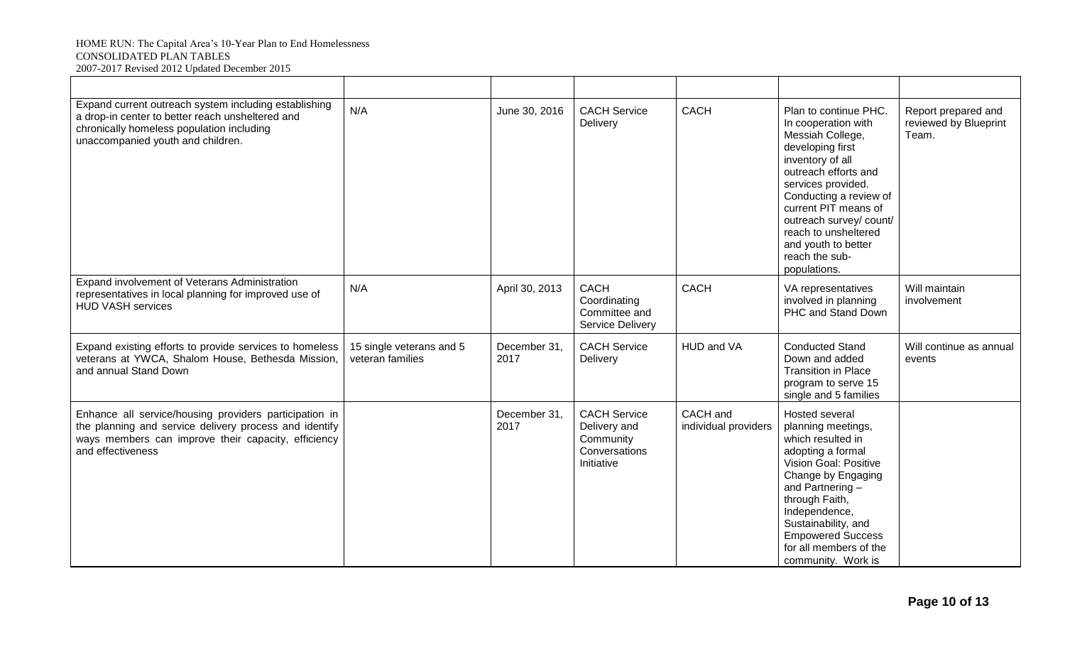| Expand current outreach system including establishing<br>a drop-in center to better reach unsheltered and<br>chronically homeless population including<br>unaccompanied youth and children.  | N/A                                          | June 30, 2016        | <b>CACH Service</b><br>Delivery                                                 | <b>CACH</b>                      | Plan to continue PHC.<br>In cooperation with<br>Messiah College,<br>developing first<br>inventory of all<br>outreach efforts and<br>services provided.<br>Conducting a review of<br>current PIT means of<br>outreach survey/ count/<br>reach to unsheltered<br>and youth to better<br>reach the sub-<br>populations. | Report prepared and<br>reviewed by Blueprint<br>Team. |
|----------------------------------------------------------------------------------------------------------------------------------------------------------------------------------------------|----------------------------------------------|----------------------|---------------------------------------------------------------------------------|----------------------------------|----------------------------------------------------------------------------------------------------------------------------------------------------------------------------------------------------------------------------------------------------------------------------------------------------------------------|-------------------------------------------------------|
| Expand involvement of Veterans Administration<br>representatives in local planning for improved use of<br><b>HUD VASH services</b>                                                           | N/A                                          | April 30, 2013       | <b>CACH</b><br>Coordinating<br>Committee and<br><b>Service Delivery</b>         | <b>CACH</b>                      | VA representatives<br>involved in planning<br>PHC and Stand Down                                                                                                                                                                                                                                                     | Will maintain<br>involvement                          |
| Expand existing efforts to provide services to homeless<br>veterans at YWCA, Shalom House, Bethesda Mission,<br>and annual Stand Down                                                        | 15 single veterans and 5<br>veteran families | December 31,<br>2017 | <b>CACH Service</b><br>Delivery                                                 | HUD and VA                       | <b>Conducted Stand</b><br>Down and added<br><b>Transition in Place</b><br>program to serve 15<br>single and 5 families                                                                                                                                                                                               | Will continue as annual<br>events                     |
| Enhance all service/housing providers participation in<br>the planning and service delivery process and identify<br>ways members can improve their capacity, efficiency<br>and effectiveness |                                              | December 31,<br>2017 | <b>CACH Service</b><br>Delivery and<br>Community<br>Conversations<br>Initiative | CACH and<br>individual providers | Hosted several<br>planning meetings,<br>which resulted in<br>adopting a formal<br>Vision Goal: Positive<br>Change by Engaging<br>and Partnering-<br>through Faith,<br>Independence,<br>Sustainability, and<br><b>Empowered Success</b><br>for all members of the<br>community. Work is                               |                                                       |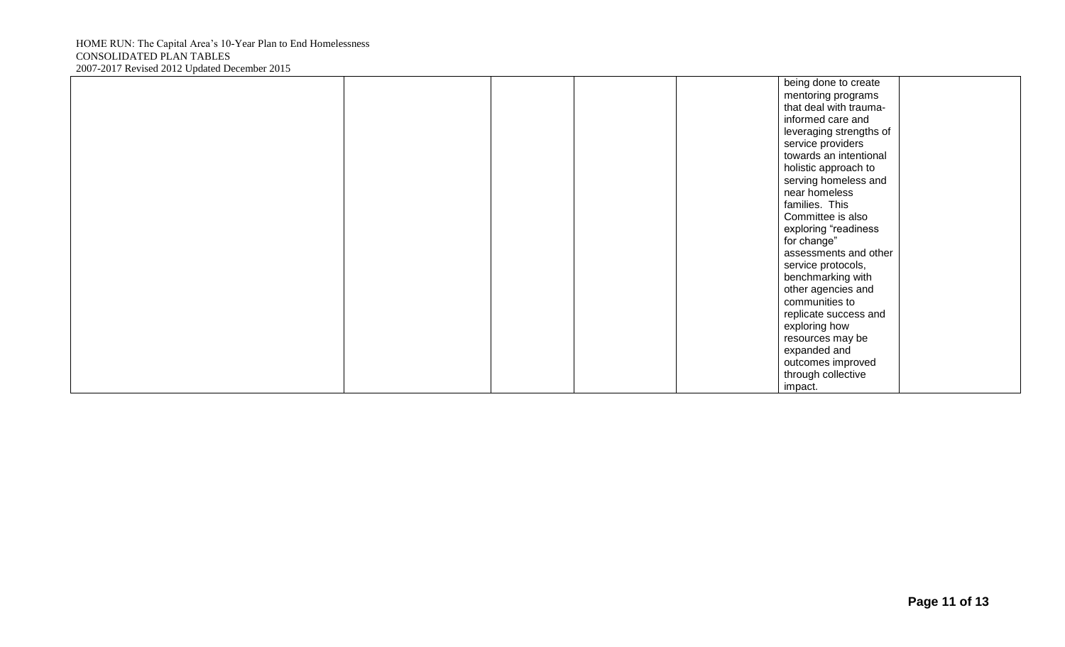|  |  | being done to create    |  |
|--|--|-------------------------|--|
|  |  | mentoring programs      |  |
|  |  | that deal with trauma-  |  |
|  |  | informed care and       |  |
|  |  | leveraging strengths of |  |
|  |  | service providers       |  |
|  |  | towards an intentional  |  |
|  |  | holistic approach to    |  |
|  |  | serving homeless and    |  |
|  |  | near homeless           |  |
|  |  | families. This          |  |
|  |  | Committee is also       |  |
|  |  | exploring "readiness    |  |
|  |  | for change"             |  |
|  |  | assessments and other   |  |
|  |  | service protocols,      |  |
|  |  | benchmarking with       |  |
|  |  | other agencies and      |  |
|  |  | communities to          |  |
|  |  | replicate success and   |  |
|  |  | exploring how           |  |
|  |  | resources may be        |  |
|  |  | expanded and            |  |
|  |  | outcomes improved       |  |
|  |  | through collective      |  |
|  |  | impact.                 |  |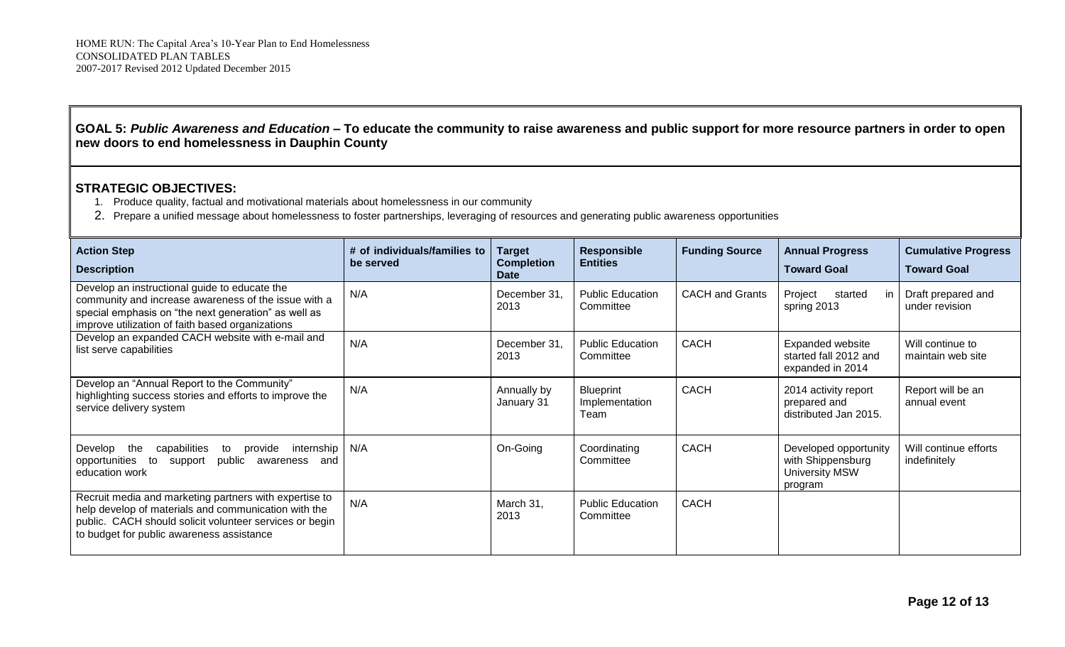## **GOAL 5:** *Public Awareness and Education –* **To educate the community to raise awareness and public support for more resource partners in order to open new doors to end homelessness in Dauphin County**

- 1. Produce quality, factual and motivational materials about homelessness in our community
- 2. Prepare a unified message about homelessness to foster partnerships, leveraging of resources and generating public awareness opportunities

| <b>Action Step</b><br><b>Description</b>                                                                                                                                                                               | # of individuals/families to<br>be served | <b>Target</b><br><b>Completion</b><br>Date | Responsible<br><b>Entities</b>             | <b>Funding Source</b>  | <b>Annual Progress</b><br><b>Toward Goal</b>                                   | <b>Cumulative Progress</b><br><b>Toward Goal</b> |
|------------------------------------------------------------------------------------------------------------------------------------------------------------------------------------------------------------------------|-------------------------------------------|--------------------------------------------|--------------------------------------------|------------------------|--------------------------------------------------------------------------------|--------------------------------------------------|
| Develop an instructional guide to educate the<br>community and increase awareness of the issue with a<br>special emphasis on "the next generation" as well as<br>improve utilization of faith based organizations      | N/A                                       | December 31,<br>2013                       | <b>Public Education</b><br>Committee       | <b>CACH and Grants</b> | Project<br>started<br>in l<br>spring 2013                                      | Draft prepared and<br>under revision             |
| Develop an expanded CACH website with e-mail and<br>list serve capabilities                                                                                                                                            | N/A                                       | December 31,<br>2013                       | <b>Public Education</b><br>Committee       | <b>CACH</b>            | Expanded website<br>started fall 2012 and<br>expanded in 2014                  | Will continue to<br>maintain web site            |
| Develop an "Annual Report to the Community"<br>highlighting success stories and efforts to improve the<br>service delivery system                                                                                      | N/A                                       | Annually by<br>January 31                  | <b>Blueprint</b><br>Implementation<br>Team | <b>CACH</b>            | 2014 activity report<br>prepared and<br>distributed Jan 2015.                  | Report will be an<br>annual event                |
| capabilities<br>provide<br>internship   N/A<br>Develop the<br>to<br>public<br>to<br>opportunities<br>support<br>awareness<br>and<br>education work                                                                     |                                           | On-Going                                   | Coordinating<br>Committee                  | CACH                   | Developed opportunity<br>with Shippensburg<br><b>University MSW</b><br>program | Will continue efforts<br>indefinitely            |
| Recruit media and marketing partners with expertise to<br>help develop of materials and communication with the<br>public. CACH should solicit volunteer services or begin<br>to budget for public awareness assistance | N/A                                       | March 31,<br>2013                          | <b>Public Education</b><br>Committee       | CACH                   |                                                                                |                                                  |